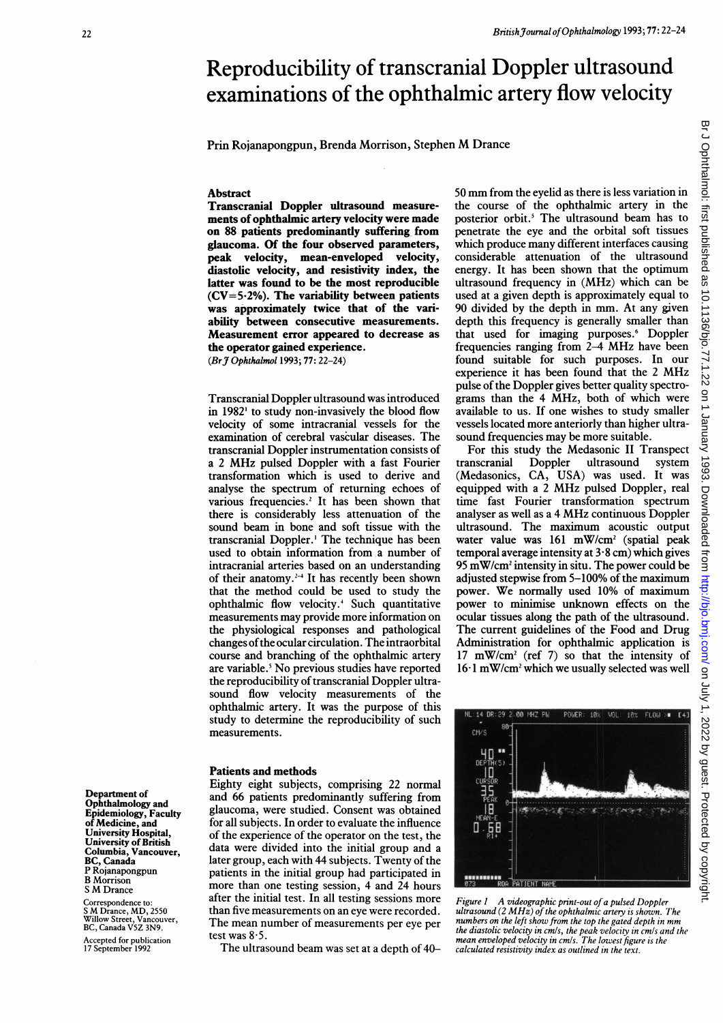# Reproducibility of transcranial Doppler ultrasound examinations of the ophthalmic artery flow velocity

Prin Rojanapongpun, Brenda Morrison, Stephen M Drance

#### Abstract

Transcranial Doppler ultrasound measurements of ophthalmic artery velocity were made on 88 patients predominantly suffering from glaucoma. Of the four observed parameters, peak velocity, mean-enveloped velocity, diastolic velocity, and resistivity index, the latter was found to be the most reproducible  $(CV=5.2%)$ . The variability between patients was approximately twice that of the variability between consecutive measurements. Measurement error appeared to decrease as the operator gained experience. (BrJ Ophthalmol 1993; 77: 22-24)

Transcranial Doppler ultrasound was introduced in 1982<sup>1</sup> to study non-invasively the blood flow velocity of some intracranial vessels for the examination of cerebral vascular diseases. The transcranial Doppler instrumentation consists of <sup>a</sup> <sup>2</sup> MHz pulsed Doppler with <sup>a</sup> fast Fourier transformation which is used to derive and analyse the spectrum of returning echoes of various frequencies.<sup>2</sup> It has been shown that there is considerably less attenuation of the sound beam in bone and soft tissue with the transcranial Doppler.' The technique has been used to obtain information from a number of intracranial arteries based on an understanding of their anatomy.<sup>2-4</sup> It has recently been shown that the method could be used to study the ophthalmic flow velocity.4 Such quantitative measurements may provide more information on the physiological responses and pathological changes ofthe ocular circulation. The intraorbital course and branching of the ophthalmic artery are variable.<sup>5</sup> No previous studies have reported the reproducibility of transcranial Doppler ultrasound flow velocity measurements of the ophthalmic artery. It was the purpose of this study to determine the reproducibility of such measurements.

### Patients and methods

Eighty eight subjects, comprising 22 normal and 66 patients predominantly suffering from glaucoma, were studied. Consent was obtained for all subjects. In order to evaluate the influence of the experience of the operator on the test, the data were divided into the initial group and a later group, each with 44 subjects. Twenty of the patients in the initial group had participated in more than one testing session, 4 and 24 hours after the initial test. In all testing sessions more than five measurements on an eye were recorded. The mean number of measurements per eye per test was  $8.5$ .

The ultrasound beam was set at <sup>a</sup> depth of 40-

<sup>50</sup> mm from the eyelid as there is less variation in the course of the ophthalmic artery in the posterior orbit.<sup>5</sup> The ultrasound beam has to penetrate the eye and the orbital soft tissues which produce many different interfaces causing considerable attenuation of the ultrasound energy. It has been shown that the optimum ultrasound frequency in (MHz) which can be used at a given depth is approximately equal to 90 divided by the depth in mm. At any given depth this frequency is generally smaller than that used for imaging purposes.6 Doppler frequencies ranging from 2-4 MHz have been found suitable for such purposes. In our experience it has been found that the <sup>2</sup> MHz pulse of the Doppler gives better quality spectrograms than the 4 MHz, both of which were available to us. If one wishes to study smaller vessels located more anteriorly than higher ultrasound frequencies may be more suitable.

For this study the Medasonic II Transpect transcranial Doppler ultrasound system (Medasonics, CA, USA) was used. It was equipped with <sup>a</sup> <sup>2</sup> MHz pulsed Doppler, real time fast Fourier transformation spectrum analyser as well as <sup>a</sup> <sup>4</sup> MHz continuous Doppler ultrasound. The maximum acoustic output water value was 161 mW/cm<sup>2</sup> (spatial peak temporal average intensity at  $3.8$  cm) which gives 95 mW/cm2 intensity in situ. The power could be adjusted stepwise from 5-100% of the maximum power. We normally used 10% of maximum power to minimise unknown effects on the ocular tissues along the path of the ultrasound. The current guidelines of the Food and Drug Administration for ophthalmic application is  $17 \text{ mW/cm}^2$  (ref 7) so that the intensity of  $16·1$  mW/cm<sup>2</sup> which we usually selected was well



Figure 1 A videographic print-out of a pulsed Doppler ultrasound (2 MHz) of the ophthalmic artery is shown. The numbers on the left show from the top the gated depth in mm the diastolic velocity in cm/s, the peak velocity in cm/s and the mean enveloped velocity in cm/s. The lowest figure is the calculated resistivity index as outlined in the text.

Department of Ophthalmology and Epidemiology, Faculty of Medicine, and University Hospital, University of British Columbia, Vancouver, BC, Canada P Rojanapongpun B Morrison <sup>S</sup> M Drance Correspondence to: <sup>S</sup> M Drance, MD, <sup>2550</sup> Willow Street, Vancouver, BC, Canada VSZ 3N9.

Accepted for publication 17 September 1992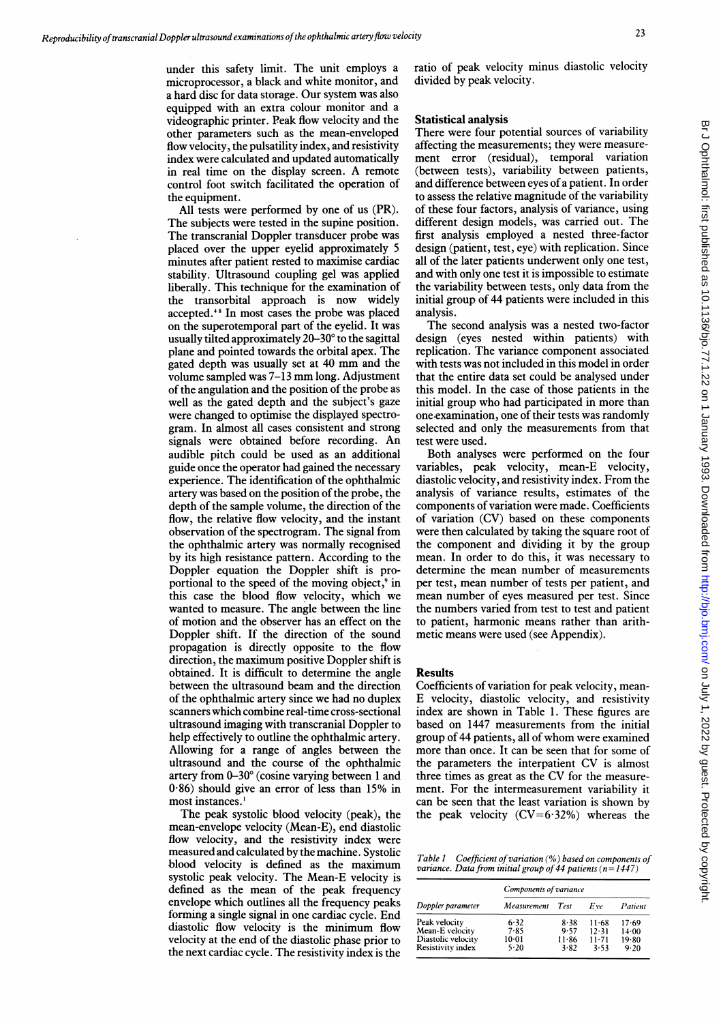under this safety limit. The unit employs a microprocessor, a black and white monitor, and a hard disc for data storage. Our system was also equipped with an extra colour monitor and a videographic printer. Peak flow velocity and the other parameters such as the mean-enveloped flow velocity, the pulsatility index, and resistivity index were calculated and updated automatically in real time on the display screen. A remote control foot switch facilitated the operation of the equipment.

All tests were performed by one of us (PR). The subjects were tested in the supine position. The transcranial Doppler transducer probe was placed over the upper eyelid approximately 5 minutes after patient rested to maximise cardiac stability. Ultrasound coupling gel was applied liberally. This technique for the examination of the transorbital approach is now widely accepted.48 In most cases the probe was placed on the superotemporal part of the eyelid. It was usually tilted approximately 20-30° to the sagittal plane and pointed towards the orbital apex. The gated depth was usually set at <sup>40</sup> mm and the volume sampled was 7-13 mm long. Adjustment of the angulation and the position of the probe as well as the gated depth and the subject's gaze were changed to optimise the displayed spectrogram. In almost all cases consistent and strong signals were obtained before recording. An audible pitch could be used as an additional guide once the operator had gained the necessary experience. The identification of the ophthalmic artery was based on the position of the probe, the depth of the sample volume, the direction of the flow, the relative flow velocity, and the instant observation of the spectrogram. The signal from the ophthalmic artery was normally recognised by its high resistance pattern. According to the Doppler equation the Doppler shift is proportional to the speed of the moving object,<sup>9</sup> in this case the blood flow velocity, which we wanted to measure. The angle between the line of motion and the observer has an effect on the Doppler shift. If the direction of the sound propagation is directly opposite to the flow direction, the maximum positive Doppler shift is obtained. It is difficult to determine the angle between the ultrasound beam and the direction of the ophthalmic artery since we had no duplex scanners which combine real-time cross-sectional ultrasound imaging with transcranial Doppler to help effectively to outline the ophthalmic artery. Allowing for a range of angles between the ultrasound and the course of the ophthalmic artery from 0-30' (cosine varying between <sup>1</sup> and  $0.86$ ) should give an error of less than 15% in most instances.'

The peak systolic blood velocity (peak), the mean-envelope velocity (Mean-E), end diastolic flow velocity, and the resistivity index were measured and calculated by the machine. Systolic blood velocity is defined as the maximum systolic peak velocity. The Mean-E velocity is defined as the mean of the peak frequency envelope which outlines all the frequency peaks forming a single signal in one cardiac cycle. End diastolic flow velocity is the minimum flow velocity at the end of the diastolic phase prior to the next cardiac cycle. The resistivity index is the

ratio of peak velocity minus diastolic velocity divided by peak velocity.

#### Statistical analysis

There were four potential sources of variability affecting the measurements; they were measurement error (residual), temporal variation (between tests), variability between patients, and difference between eyes of a patient. In order to assess the relative magnitude of the variability of these four factors, analysis of variance, using different design models, was carried out. The first analysis employed a nested three-factor design (patient, test, eye) with replication. Since all of the later patients underwent only one test, and with only one test it is impossible to estimate the variability between tests, only data from the initial group of 44 patients were included in this analysis.

The second analysis was <sup>a</sup> nested two-factor design (eyes nested within patients) with replication. The variance component associated with tests was not included in this model in order that the entire data set could be analysed under this model. In the case of those patients in the initial group who had participated in more than one.examination, one of their tests was randomly selected and only the measurements from that test were used.

Both analyses were performed on the four variables, peak velocity, mean-E velocity, diastolic velocity, and resistivity index. From the analysis of variance results, estimates of the components of variation were made. Coefficients of variation (CV) based on these components were then calculated by taking the square root of the component and dividing it by the group mean. In order to do this, it was necessary to determine the mean number of measurements per test, mean number of tests per patient, and mean number of eyes measured per test. Since the numbers varied from test to test and patient to patient, harmonic means rather than arithmetic means were used (see Appendix).

#### Results

Coefficients of variation for peak velocity, mean-E velocity, diastolic velocity, and resistivity index are shown in Table 1. These figures are based on 1447 measurements from the initial group of 44 patients, all of whom were examined more than once. It can be seen that for some of the parameters the interpatient CV is almost three times as great as the CV for the measurement. For the intermeasurement variability it can be seen that the least variation is shown by the peak velocity  $(CV=6.32%)$  whereas the

Table  $1$  Coefficient of variation (%) based on components of variance. Data from initial group of 44 patients ( $n=1447$ )

| Doppler parameter  | Components of variance |           |           |          |  |
|--------------------|------------------------|-----------|-----------|----------|--|
|                    | Measurement            | Test      | Eve       | Patient  |  |
| Peak velocity      | 6.32                   | 8.38      | $11 - 68$ | 17.69    |  |
| Mean-E velocity    | 7.85                   | 9.57      | 12.31     | 14.00    |  |
| Diastolic velocity | $10-01$                | $11 - 86$ | $11 - 71$ | 19.80    |  |
| Resistivity index  | 5.20                   | 3.82      | 3.53      | $9 - 20$ |  |